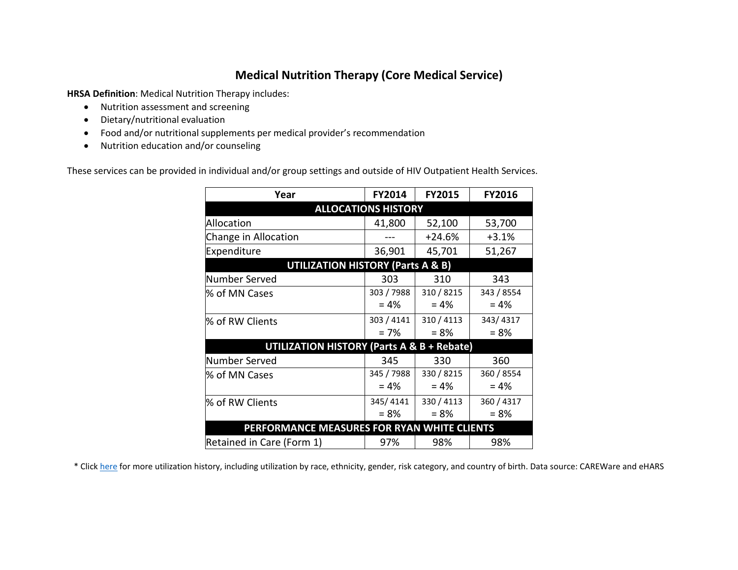## **Medical Nutrition Therapy (Core Medical Service)**

**HRSA Definition**: Medical Nutrition Therapy includes:

- Nutrition assessment and screening
- Dietary/nutritional evaluation
- Food and/or nutritional supplements per medical provider's recommendation
- Nutrition education and/or counseling

These services can be provided in individual and/or group settings and outside of HIV Outpatient Health Services.

| Year                                                  | <b>FY2014</b> | <b>FY2015</b> | <b>FY2016</b> |
|-------------------------------------------------------|---------------|---------------|---------------|
| <b>ALLOCATIONS HISTORY</b>                            |               |               |               |
| Allocation                                            | 41,800        | 52,100        | 53,700        |
| Change in Allocation                                  |               | $+24.6%$      | $+3.1%$       |
| Expenditure                                           | 36,901        | 45,701        | 51,267        |
| <b>UTILIZATION HISTORY (Parts A &amp; B)</b>          |               |               |               |
| Number Served                                         | 303           | 310           | 343           |
| % of MN Cases                                         | 303 / 7988    | 310 / 8215    | 343 / 8554    |
|                                                       | $= 4%$        | $= 4%$        | $= 4%$        |
| % of RW Clients                                       | 303 / 4141    | 310 / 4113    | 343/4317      |
|                                                       | $= 7%$        | $= 8%$        | $= 8%$        |
| <b>UTILIZATION HISTORY (Parts A &amp; B + Rebate)</b> |               |               |               |
| Number Served                                         | 345           | 330           | 360           |
| % of MN Cases                                         | 345 / 7988    | 330 / 8215    | 360 / 8554    |
|                                                       | $= 4%$        | $= 4\%$       | $= 4%$        |
| % of RW Clients                                       | 345/4141      | 330 / 4113    | 360 / 4317    |
|                                                       | $= 8\%$       | $= 8%$        | $= 8%$        |
| PERFORMANCE MEASURES FOR RYAN WHITE CLIENTS           |               |               |               |
| Retained in Care (Form 1)                             | 97%           | 98%           | 98%           |

\* Clic[k here](http://mnhivcouncil.org/uploads/3/4/6/1/3461530/core_medical_services_sars.pdf) for more utilization history, including utilization by race, ethnicity, gender, risk category, and country of birth. Data source: CAREWare and eHARS